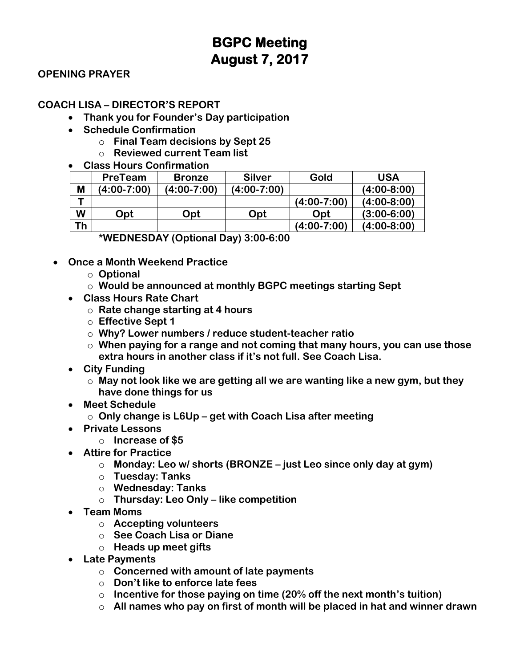#### **OPENING PRAYER**

#### **COACH LISA – DIRECTOR'S REPORT**

- **Thank you for Founder's Day participation**
- **Schedule Confirmation**
	- o **Final Team decisions by Sept 25**
	- o **Reviewed current Team list**

#### • **Class Hours Confirmation**

| M<br>$(4:00-7:00)$<br>(4:00-7:00)<br>$(4:00-7:00)$<br>$(4:00-7:00)$<br>W<br>Opt<br>Opt<br>Opt<br>Opt | <b>USA</b>    | Gold | <b>Silver</b> | <b>Bronze</b> | PreTeam |  |
|------------------------------------------------------------------------------------------------------|---------------|------|---------------|---------------|---------|--|
|                                                                                                      | $(4:00-8:00)$ |      |               |               |         |  |
|                                                                                                      | $(4:00-8:00)$ |      |               |               |         |  |
|                                                                                                      | $(3:00-6:00)$ |      |               |               |         |  |
| Τh<br>$(4:00-7:00)$                                                                                  | $(4:00-8:00)$ |      |               |               |         |  |

**\*WEDNESDAY (Optional Day) 3:00-6:00**

- **Once a Month Weekend Practice**
	- o **Optional**
	- o **Would be announced at monthly BGPC meetings starting Sept**
	- **Class Hours Rate Chart**
		- o **Rate change starting at 4 hours**
		- o **Effective Sept 1**
		- o **Why? Lower numbers / reduce student-teacher ratio**
		- o **When paying for a range and not coming that many hours, you can use those extra hours in another class if it's not full. See Coach Lisa.**
	- **City Funding**
		- o **May not look like we are getting all we are wanting like a new gym, but they have done things for us**
	- **Meet Schedule**
		- o **Only change is L6Up – get with Coach Lisa after meeting**
	- **Private Lessons**
		- o **Increase of \$5**
	- **Attire for Practice**
		- o **Monday: Leo w/ shorts (BRONZE – just Leo since only day at gym)**
		- o **Tuesday: Tanks**
		- o **Wednesday: Tanks**
		- o **Thursday: Leo Only – like competition**
	- **Team Moms**
		- o **Accepting volunteers**
		- o **See Coach Lisa or Diane**
		- o **Heads up meet gifts**
	- **Late Payments**
		- o **Concerned with amount of late payments**
		- o **Don't like to enforce late fees**
		- o **Incentive for those paying on time (20% off the next month's tuition)**
		- o **All names who pay on first of month will be placed in hat and winner drawn**